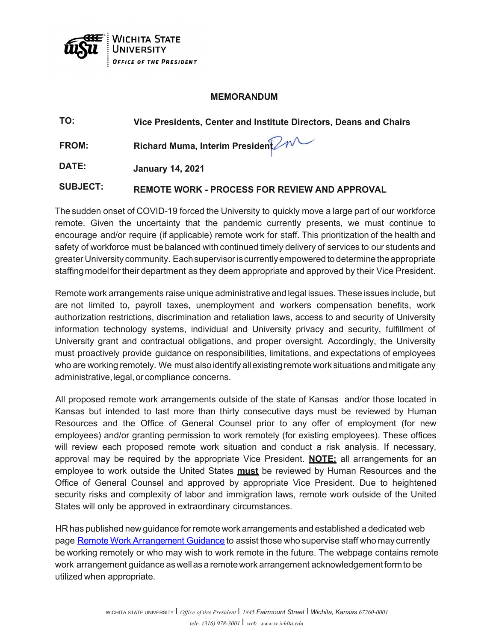

## **MEMORANDUM**

| TO:   | Vice Presidents, Center and Institute Directors, Deans and Chairs |
|-------|-------------------------------------------------------------------|
| FROM: | Richard Muma, Interim President 2N                                |
| DATE: | <b>January 14, 2021</b>                                           |

**SUBJECT: REMOTE WORK - PROCESS FOR REVIEW AND APPROVAL**

The sudden onset of COVID-19 forced the University to quickly move a large part of our workforce remote. Given the uncertainty that the pandemic currently presents, we must continue to encourage and/or require (if applicable) remote work for staff. This prioritization of the health and safety of workforce must be balanced with continued timely delivery of services to our students and greater University community. Eachsupervisor iscurrentlyempowered to determine theappropriate staffingmodelfor their department as they deem appropriate and approved by their Vice President.

Remote work arrangements raise unique administrative and legal issues. These issues include, but are not limited to, payroll taxes, unemployment and workers compensation benefits, work authorization restrictions, discrimination and retaliation laws, access to and security of University information technology systems, individual and University privacy and security, fulfillment of University grant and contractual obligations, and proper oversight. Accordingly, the University must proactively provide guidance on responsibilities, limitations, and expectations of employees who are working remotely. We must also identify allexistingremote work situations and mitigate any administrative, legal, or compliance concerns.

All proposed remote work arrangements outside of the state of Kansas and/or those located in Kansas but intended to last more than thirty consecutive days must be reviewed by Human Resources and the Office of General Counsel prior to any offer of employment (for new employees) and/or granting permission to work remotely (for existing employees). These offices will review each proposed remote work situation and conduct a risk analysis. If necessary, approval may be required by the appropriate Vice President. **NOTE:** all arrangements for an employee to work outside the United States **must** be reviewed by Human Resources and the Office of General Counsel and approved by appropriate Vice President. Due to heightened security risks and complexity of labor and immigration laws, remote work outside of the United States will only be approved in extraordinary circumstances.

HR has published new guidance forremote work arrangements and established a dedicated web page Remote Work Arrangement Guidance to assist those who supervise staff who may currently be working remotely or who may wish to work remote in the future. The webpage contains remote work arrangement guidance aswellas a remotework arrangement acknowledgementformto be utilized when appropriate.